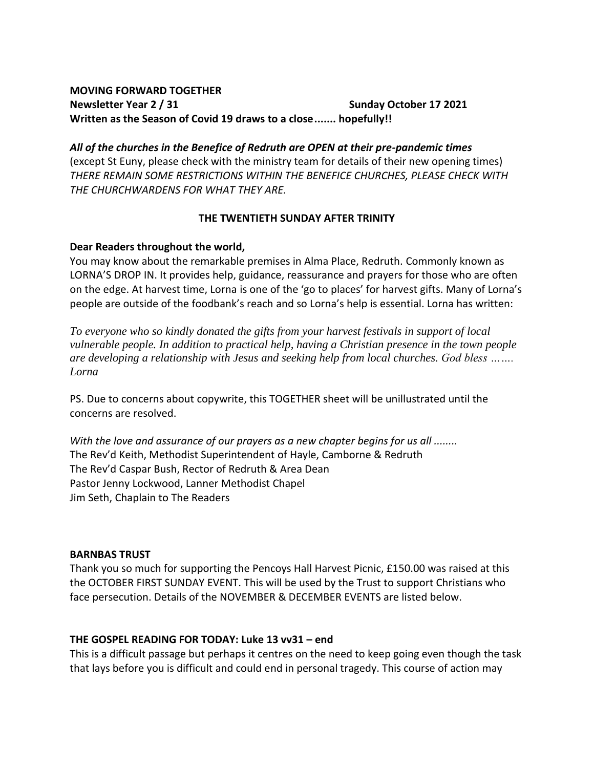### **MOVING FORWARD TOGETHER Newsletter Year 2** / 31 **Sunday October 17 2021 Written as the Season of Covid 19 draws to a close....... hopefully!!**

*All of the churches in the Benefice of Redruth are OPEN at their pre-pandemic times*  (except St Euny, please check with the ministry team for details of their new opening times) *THERE REMAIN SOME RESTRICTIONS WITHIN THE BENEFICE CHURCHES, PLEASE CHECK WITH THE CHURCHWARDENS FOR WHAT THEY ARE.*

### **THE TWENTIETH SUNDAY AFTER TRINITY**

### **Dear Readers throughout the world,**

You may know about the remarkable premises in Alma Place, Redruth. Commonly known as LORNA'S DROP IN. It provides help, guidance, reassurance and prayers for those who are often on the edge. At harvest time, Lorna is one of the 'go to places' for harvest gifts. Many of Lorna's people are outside of the foodbank's reach and so Lorna's help is essential. Lorna has written:

*To everyone who so kindly donated the gifts from your harvest festivals in support of local vulnerable people. In addition to practical help, having a Christian presence in the town people are developing a relationship with Jesus and seeking help from local churches. God bless ……. Lorna*

PS. Due to concerns about copywrite, this TOGETHER sheet will be unillustrated until the concerns are resolved.

*With the love and assurance of our prayers as a new chapter begins for us all ........* The Rev'd Keith, Methodist Superintendent of Hayle, Camborne & Redruth The Rev'd Caspar Bush, Rector of Redruth & Area Dean Pastor Jenny Lockwood, Lanner Methodist Chapel Jim Seth, Chaplain to The Readers

### **BARNBAS TRUST**

Thank you so much for supporting the Pencoys Hall Harvest Picnic, £150.00 was raised at this the OCTOBER FIRST SUNDAY EVENT. This will be used by the Trust to support Christians who face persecution. Details of the NOVEMBER & DECEMBER EVENTS are listed below.

### **THE GOSPEL READING FOR TODAY: Luke 13 vv31 – end**

This is a difficult passage but perhaps it centres on the need to keep going even though the task that lays before you is difficult and could end in personal tragedy. This course of action may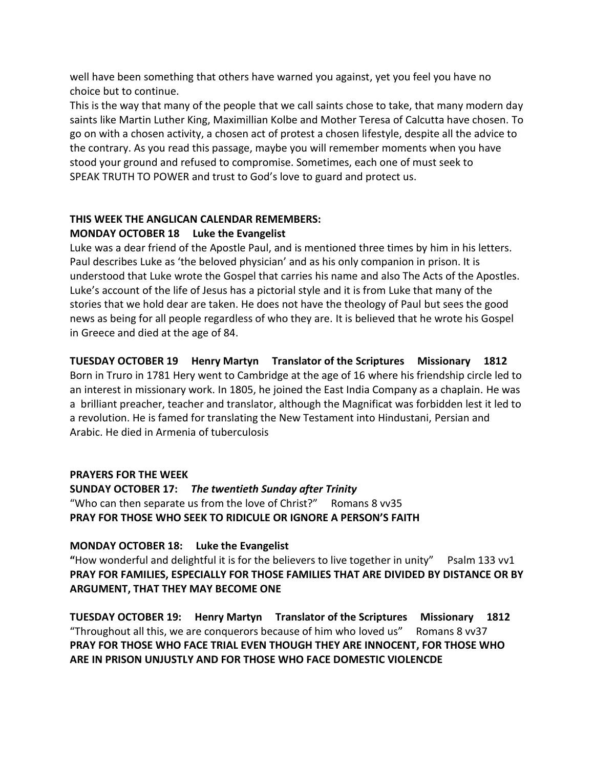well have been something that others have warned you against, yet you feel you have no choice but to continue.

This is the way that many of the people that we call saints chose to take, that many modern day saints like Martin Luther King, Maximillian Kolbe and Mother Teresa of Calcutta have chosen. To go on with a chosen activity, a chosen act of protest a chosen lifestyle, despite all the advice to the contrary. As you read this passage, maybe you will remember moments when you have stood your ground and refused to compromise. Sometimes, each one of must seek to SPEAK TRUTH TO POWER and trust to God's love to guard and protect us.

# **THIS WEEK THE ANGLICAN CALENDAR REMEMBERS: MONDAY OCTOBER 18 Luke the Evangelist**

Luke was a dear friend of the Apostle Paul, and is mentioned three times by him in his letters. Paul describes Luke as 'the beloved physician' and as his only companion in prison. It is understood that Luke wrote the Gospel that carries his name and also The Acts of the Apostles. Luke's account of the life of Jesus has a pictorial style and it is from Luke that many of the stories that we hold dear are taken. He does not have the theology of Paul but sees the good news as being for all people regardless of who they are. It is believed that he wrote his Gospel in Greece and died at the age of 84.

# **TUESDAY OCTOBER 19 Henry Martyn Translator of the Scriptures Missionary 1812**

Born in Truro in 1781 Hery went to Cambridge at the age of 16 where his friendship circle led to an interest in missionary work. In 1805, he joined the East India Company as a chaplain. He was a brilliant preacher, teacher and translator, although the Magnificat was forbidden lest it led to a revolution. He is famed for translating the New Testament into Hindustani, Persian and Arabic. He died in Armenia of tuberculosis

# **PRAYERS FOR THE WEEK**

**SUNDAY OCTOBER 17:** *The twentieth Sunday after Trinity* "Who can then separate us from the love of Christ?" Romans 8 vv35 **PRAY FOR THOSE WHO SEEK TO RIDICULE OR IGNORE A PERSON'S FAITH**

# **MONDAY OCTOBER 18: Luke the Evangelist**

**"**How wonderful and delightful it is for the believers to live together in unity" Psalm 133 vv1 **PRAY FOR FAMILIES, ESPECIALLY FOR THOSE FAMILIES THAT ARE DIVIDED BY DISTANCE OR BY ARGUMENT, THAT THEY MAY BECOME ONE**

**TUESDAY OCTOBER 19: Henry Martyn Translator of the Scriptures Missionary 1812** "Throughout all this, we are conquerors because of him who loved us" Romans 8 vv37 **PRAY FOR THOSE WHO FACE TRIAL EVEN THOUGH THEY ARE INNOCENT, FOR THOSE WHO ARE IN PRISON UNJUSTLY AND FOR THOSE WHO FACE DOMESTIC VIOLENCDE**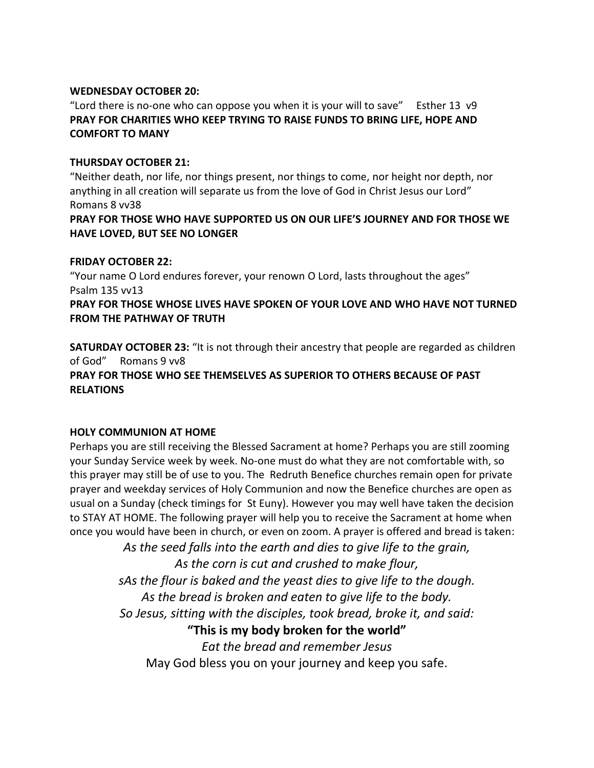#### **WEDNESDAY OCTOBER 20:**

"Lord there is no-one who can oppose you when it is your will to save" Esther 13  $\vee$ 9 **PRAY FOR CHARITIES WHO KEEP TRYING TO RAISE FUNDS TO BRING LIFE, HOPE AND COMFORT TO MANY**

#### **THURSDAY OCTOBER 21:**

"Neither death, nor life, nor things present, nor things to come, nor height nor depth, nor anything in all creation will separate us from the love of God in Christ Jesus our Lord" Romans 8 vv38

**PRAY FOR THOSE WHO HAVE SUPPORTED US ON OUR LIFE'S JOURNEY AND FOR THOSE WE HAVE LOVED, BUT SEE NO LONGER**

#### **FRIDAY OCTOBER 22:**

"Your name O Lord endures forever, your renown O Lord, lasts throughout the ages" Psalm 135 vv13

**PRAY FOR THOSE WHOSE LIVES HAVE SPOKEN OF YOUR LOVE AND WHO HAVE NOT TURNED FROM THE PATHWAY OF TRUTH**

**SATURDAY OCTOBER 23:** "It is not through their ancestry that people are regarded as children of God" Romans 9 vv8 **PRAY FOR THOSE WHO SEE THEMSELVES AS SUPERIOR TO OTHERS BECAUSE OF PAST RELATIONS**

#### **HOLY COMMUNION AT HOME**

Perhaps you are still receiving the Blessed Sacrament at home? Perhaps you are still zooming your Sunday Service week by week. No-one must do what they are not comfortable with, so this prayer may still be of use to you. The Redruth Benefice churches remain open for private prayer and weekday services of Holy Communion and now the Benefice churches are open as usual on a Sunday (check timings for St Euny). However you may well have taken the decision to STAY AT HOME. The following prayer will help you to receive the Sacrament at home when once you would have been in church, or even on zoom. A prayer is offered and bread is taken:

*As the seed falls into the earth and dies to give life to the grain,*

*As the corn is cut and crushed to make flour,*

*sAs the flour is baked and the yeast dies to give life to the dough.*

*As the bread is broken and eaten to give life to the body.*

*So Jesus, sitting with the disciples, took bread, broke it, and said:*

**"This is my body broken for the world"**

*Eat the bread and remember Jesus*

May God bless you on your journey and keep you safe.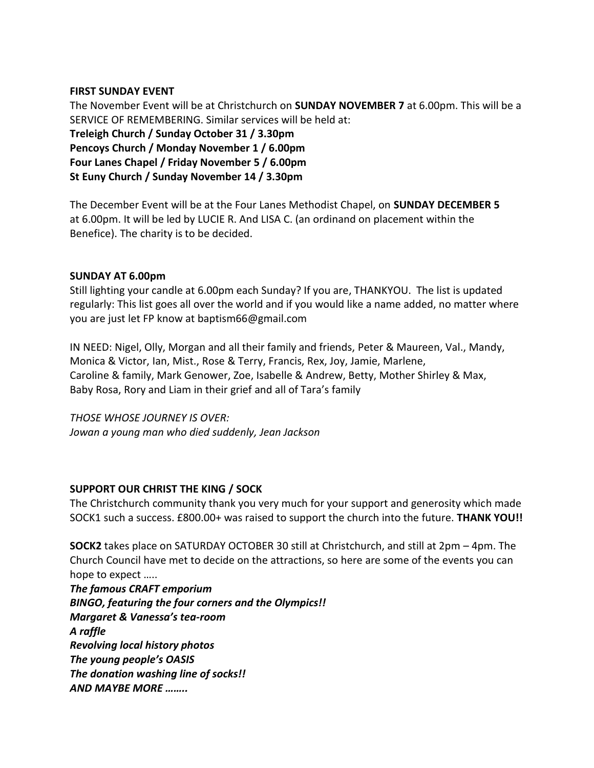#### **FIRST SUNDAY EVENT**

The November Event will be at Christchurch on **SUNDAY NOVEMBER 7** at 6.00pm. This will be a SERVICE OF REMEMBERING. Similar services will be held at: **Treleigh Church / Sunday October 31 / 3.30pm Pencoys Church / Monday November 1 / 6.00pm Four Lanes Chapel / Friday November 5 / 6.00pm St Euny Church / Sunday November 14 / 3.30pm**

The December Event will be at the Four Lanes Methodist Chapel, on **SUNDAY DECEMBER 5**  at 6.00pm. It will be led by LUCIE R. And LISA C. (an ordinand on placement within the Benefice). The charity is to be decided.

### **SUNDAY AT 6.00pm**

Still lighting your candle at 6.00pm each Sunday? If you are, THANKYOU. The list is updated regularly: This list goes all over the world and if you would like a name added, no matter where you are just let FP know at baptism66@gmail.com

IN NEED: Nigel, Olly, Morgan and all their family and friends, Peter & Maureen, Val., Mandy, Monica & Victor, Ian, Mist., Rose & Terry, Francis, Rex, Joy, Jamie, Marlene, Caroline & family, Mark Genower, Zoe, Isabelle & Andrew, Betty, Mother Shirley & Max, Baby Rosa, Rory and Liam in their grief and all of Tara's family

*THOSE WHOSE JOURNEY IS OVER: Jowan a young man who died suddenly, Jean Jackson* 

### **SUPPORT OUR CHRIST THE KING / SOCK**

The Christchurch community thank you very much for your support and generosity which made SOCK1 such a success. £800.00+ was raised to support the church into the future. **THANK YOU!!**

**SOCK2** takes place on SATURDAY OCTOBER 30 still at Christchurch, and still at 2pm – 4pm. The Church Council have met to decide on the attractions, so here are some of the events you can hope to expect …..

*The famous CRAFT emporium BINGO, featuring the four corners and the Olympics!! Margaret & Vanessa's tea-room A raffle Revolving local history photos The young people's OASIS The donation washing line of socks!! AND MAYBE MORE ……..*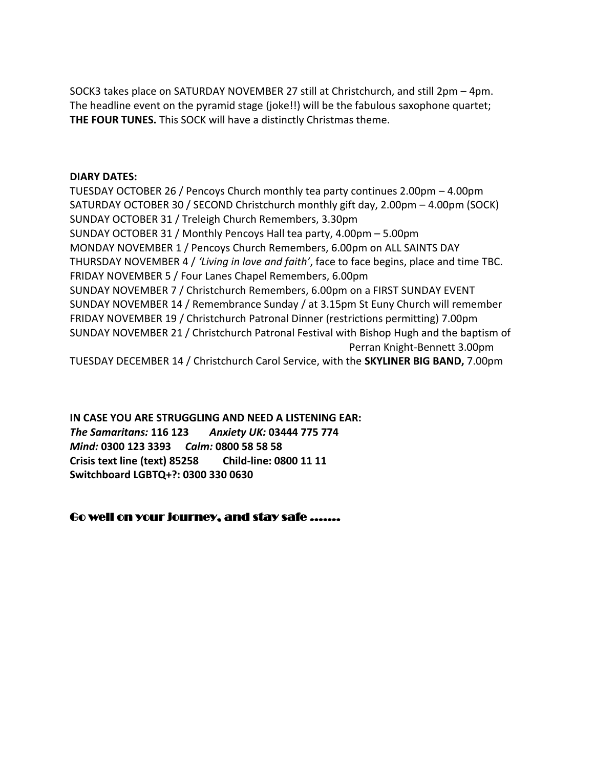SOCK3 takes place on SATURDAY NOVEMBER 27 still at Christchurch, and still 2pm – 4pm. The headline event on the pyramid stage (joke!!) will be the fabulous saxophone quartet; **THE FOUR TUNES.** This SOCK will have a distinctly Christmas theme.

#### **DIARY DATES:**

TUESDAY OCTOBER 26 / Pencoys Church monthly tea party continues 2.00pm – 4.00pm SATURDAY OCTOBER 30 / SECOND Christchurch monthly gift day, 2.00pm – 4.00pm (SOCK) SUNDAY OCTOBER 31 / Treleigh Church Remembers, 3.30pm SUNDAY OCTOBER 31 / Monthly Pencoys Hall tea party, 4.00pm – 5.00pm MONDAY NOVEMBER 1 / Pencoys Church Remembers, 6.00pm on ALL SAINTS DAY THURSDAY NOVEMBER 4 / *'Living in love and faith'*, face to face begins, place and time TBC. FRIDAY NOVEMBER 5 / Four Lanes Chapel Remembers, 6.00pm SUNDAY NOVEMBER 7 / Christchurch Remembers, 6.00pm on a FIRST SUNDAY EVENT SUNDAY NOVEMBER 14 / Remembrance Sunday / at 3.15pm St Euny Church will remember FRIDAY NOVEMBER 19 / Christchurch Patronal Dinner (restrictions permitting) 7.00pm SUNDAY NOVEMBER 21 / Christchurch Patronal Festival with Bishop Hugh and the baptism of Perran Knight-Bennett 3.00pm

TUESDAY DECEMBER 14 / Christchurch Carol Service, with the **SKYLINER BIG BAND,** 7.00pm

**IN CASE YOU ARE STRUGGLING AND NEED A LISTENING EAR:**  *The Samaritans:* **116 123** *Anxiety UK:* **03444 775 774** *Mind:* **0300 123 3393** *Calm:* **0800 58 58 58 Crisis text line (text) 85258 Child-line: 0800 11 11 Switchboard LGBTQ+?: 0300 330 0630**

# Go well on your journey, and stay safe .......